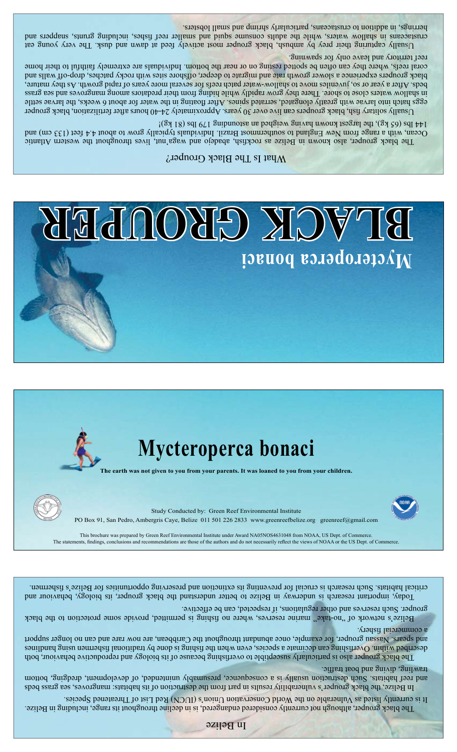In Belize

The black grouper, although not currently considered endangered, is in decline throughout its range, including in Belize. It is currently listed as Vulnerable on the World Conservation Union's (IUCN) Red List of Threatened Species.

In Belize, the black grouper's vulnerability results in part from the destruction of its habitats: mangroves, sea grass beds and reef habitats. Such destruction usually is a conseptional superment unintended, of development, draging, bottom trawling, diving and boat traffic.

The black grouper also is particularly susceptible to overfishing because of its biology and reproductive behaviour, both described within. Overfaling and decimate a species, even when the factor by a specifical fishermen using the tra and spears. Nassau grouper, for example, once abundant throughout the Caribbean, are now rare and non longer support a commercial fishery.

Belize's network of "no-take" marine reserves, where no fishing is permitted, provide some protection to the black grouper. Such reserves and other regulations, if respected, can be effective.

Today, important research is underway in Belize to better understand the black grouper, its biology, behaviour and critical habitats. Such research are fisherm in preventing its extinction and preserving opportunities for Belize's fishermen.

This brochure was prepared by Green Reef Environmental Institute under Award NA05NOS4631048 from NOAA, US Dept. of Commerce. The statements, findings, conclusions and recommendations are those of the authors and do not necessarily reflect the views of NOAA or the US Dept. of Commerce.





**The earth was not given to you from your parents. It was loaned to you from your children.**

# **Mycteroperca bonaci**



#### What Is The Black Grouper?

The black grouper, also known in Belize as rockfish, abadejo and waga'nut, lives throughout the western Atlantic Ocean, with a range from New England to southernmost Brazil. Individuals typically grow to about 4.4 feet (133 cm) and 144 lbs (65 kg), the largest known having weighed an astounding 179 lbs (81 kg)

Usually solitary fish, black groupers can live over 30 years. Approximately 24-40 hours after fertilization, black grouper eggs hatch into larvae with greatly elongated, serrated spines. After floating in the water for about 6 weeks, the larvae settle in shallow waters close to shore. There they grow rapidly while hiding from their predators among mangroves and sea grass beds. After a year or so, juveniles move to shallow-water patch reefs for several more years of rapid growth. As they mature, black groupers experience a slower growth rate and migrate to deeper, offshore sites with rocky patches, drop-off walls and coral reefs, where they can often be spotted resting on or near the bottom. Individuals are extremely faithful to their home reef territory and leave only for spawning.

Usually capturing their prey by ambush, black grouper most actively feed at dawn and dusk. The very young eat crustaceans in shallow waters, while the adults consume squid and hear reef fishes, including grunts and part herrings, in addition to crustaceans, particularly shrimp and small lobsters.